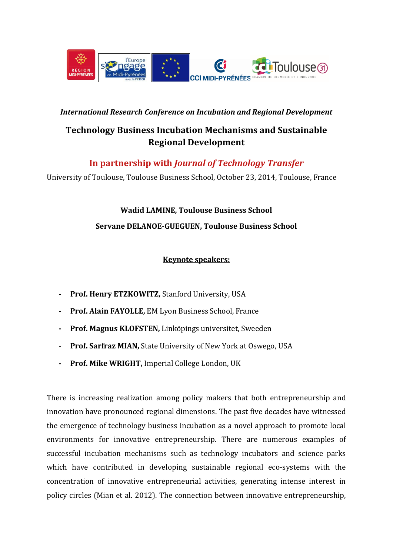

## *International Research Conference on Incubation and Regional Development*

# **Technology Business Incubation Mechanisms and Sustainable Regional Development**

**In partnership with** *Journal of Technology Transfer*

University of Toulouse, Toulouse Business School, October 23, 2014, Toulouse, France

**Wadid LAMINE, Toulouse Business School Servane DELANOE-GUEGUEN, Toulouse Business School**

# **Keynote speakers:**

- **- Prof. Henry ETZKOWITZ,** Stanford University, USA
- **- Prof. Alain FAYOLLE,** EM Lyon Business School, France
- **- Prof. Magnus KLOFSTEN,** Linköpings universitet, Sweeden
- **- Prof. Sarfraz MIAN,** State University of New York at Oswego, USA
- **- Prof. Mike WRIGHT,** Imperial College London, UK

There is increasing realization among policy makers that both entrepreneurship and innovation have pronounced regional dimensions. The past five decades have witnessed the emergence of technology business incubation as a novel approach to promote local environments for innovative entrepreneurship. There are numerous examples of successful incubation mechanisms such as technology incubators and science parks which have contributed in developing sustainable regional eco-systems with the concentration of innovative entrepreneurial activities, generating intense interest in policy circles (Mian et al. 2012). The connection between innovative entrepreneurship,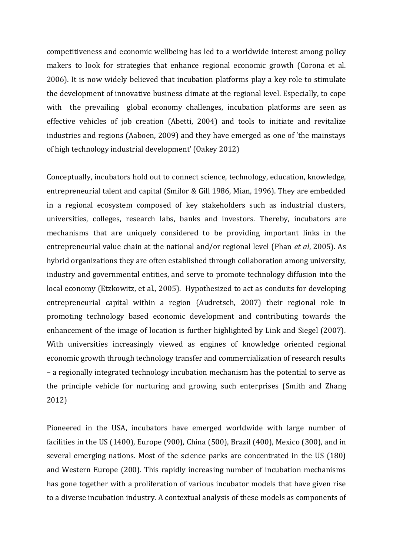competitiveness and economic wellbeing has led to a worldwide interest among policy makers to look for strategies that enhance regional economic growth (Corona et al. 2006). It is now widely believed that incubation platforms play a key role to stimulate the development of innovative business climate at the regional level. Especially, to cope with the prevailing global economy challenges, incubation platforms are seen as effective vehicles of job creation (Abetti, 2004) and tools to initiate and revitalize industries and regions (Aaboen, 2009) and they have emerged as one of 'the mainstays of high technology industrial development' (Oakey 2012)

Conceptually, incubators hold out to connect science, technology, education, knowledge, entrepreneurial talent and capital (Smilor & Gill 1986, Mian, 1996). They are embedded in a regional ecosystem composed of key stakeholders such as industrial clusters, universities, colleges, research labs, banks and investors. Thereby, incubators are mechanisms that are uniquely considered to be providing important links in the entrepreneurial value chain at the national and/or regional level (Phan *et al*, 2005). As hybrid organizations they are often established through collaboration among university, industry and governmental entities, and serve to promote technology diffusion into the local economy (Etzkowitz, et al.*,* 2005). Hypothesized to act as conduits for developing entrepreneurial capital within a region (Audretsch, 2007) their regional role in promoting technology based economic development and contributing towards the enhancement of the image of location is further highlighted by Link and Siegel (2007). With universities increasingly viewed as engines of knowledge oriented regional economic growth through technology transfer and commercialization of research results – a regionally integrated technology incubation mechanism has the potential to serve as the principle vehicle for nurturing and growing such enterprises (Smith and Zhang 2012)

Pioneered in the USA, incubators have emerged worldwide with large number of facilities in the US (1400), Europe (900), China (500), Brazil (400), Mexico (300), and in several emerging nations. Most of the science parks are concentrated in the US (180) and Western Europe (200). This rapidly increasing number of incubation mechanisms has gone together with a proliferation of various incubator models that have given rise to a diverse incubation industry. A contextual analysis of these models as components of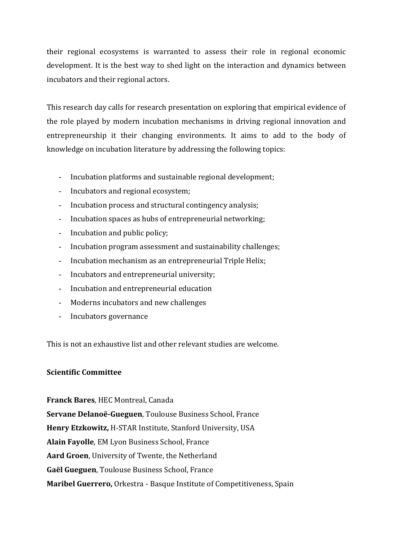their regional ecosystems is warranted to assess their role in regional economic development. It is the best way to shed light on the interaction and dynamics between incubators and their regional actors.

This research day calls for research presentation on exploring that empirical evidence of the role played by modern incubation mechanisms in driving regional innovation and entrepreneurship it their changing environments. It aims to add to the body of knowledge on incubation literature by addressing the following topics:

- Incubation platforms and sustainable regional development;
- Incubators and regional ecosystem;
- Incubation process and structural contingency analysis;
- Incubation spaces as hubs of entrepreneurial networking;
- Incubation and public policy;
- Incubation program assessment and sustainability challenges;
- Incubation mechanism as an entrepreneurial Triple Helix;
- Incubators and entrepreneurial university;
- Incubation and entrepreneurial education
- Moderns incubators and new challenges
- Incubators governance

This is not an exhaustive list and other relevant studies are welcome.

### **Scientific Committee**

**Franck Bares**, HEC Montreal, Canada **Servane Delanoë-Gueguen**, Toulouse Business School, France **Henry Etzkowitz,** H-STAR Institute, Stanford University, USA **Alain Fayolle**, EM Lyon Business School, France **Aard Groen**, University of Twente, the Netherland **Gaël Gueguen**, Toulouse Business School, France **Maribel Guerrero,** Orkestra - Basque Institute of Competitiveness, Spain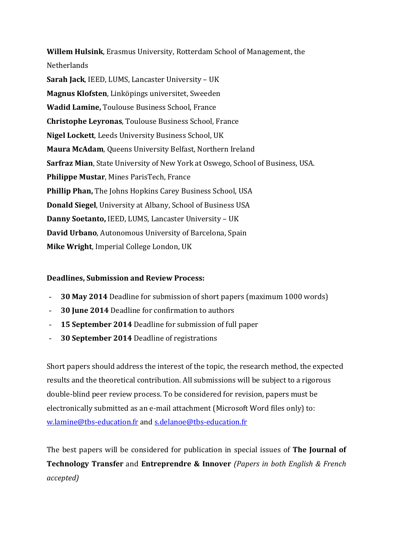**Willem Hulsink**, Erasmus University, Rotterdam School of Management, the **Netherlands Sarah Jack**, IEED, LUMS, Lancaster University – UK **Magnus Klofsten**, Linköpings universitet, Sweeden **Wadid Lamine,** Toulouse Business School, France **Christophe Leyronas**, Toulouse Business School, France **Nigel Lockett**, Leeds University Business School, UK **Maura McAdam**, Queens University Belfast, Northern Ireland **Sarfraz Mian**, State University of New York at Oswego, School of Business, USA. **Philippe Mustar**, Mines ParisTech, France **Phillip Phan,** The Johns Hopkins Carey Business School, USA **Donald Siegel**, University at Albany, School of Business USA **Danny Soetanto,** IEED, LUMS, Lancaster University – UK **David Urbano**, Autonomous University of Barcelona, Spain **Mike Wright**, Imperial College London, UK

#### **Deadlines, Submission and Review Process:**

- **30 May 2014** Deadline for submission of short papers (maximum 1000 words)
- **30 June 2014** Deadline for confirmation to authors
- **15 September 2014** Deadline for submission of full paper
- **30 September 2014** Deadline of registrations

Short papers should address the interest of the topic, the research method, the expected results and the theoretical contribution. All submissions will be subject to a rigorous double-blind peer review process. To be considered for revision, papers must be electronically submitted as an e-mail attachment (Microsoft Word files only) to: [w.lamine@tbs-education.fr](mailto:w.lamine@tbs-education.fr) and [s.delanoe@tbs-education.fr](mailto:s.delanoe@tbs-education.fr)

The best papers will be considered for publication in special issues of **The Journal of Technology Transfer** and **Entreprendre & Innover** *(Papers in both English & French accepted)*